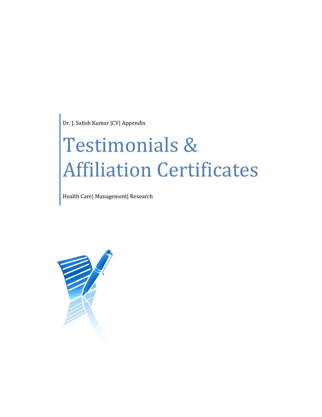Dr. J. Satish Kumar |CV| Appendix

# Testimonials & Affiliation Certificates

Health Care| Management| Research

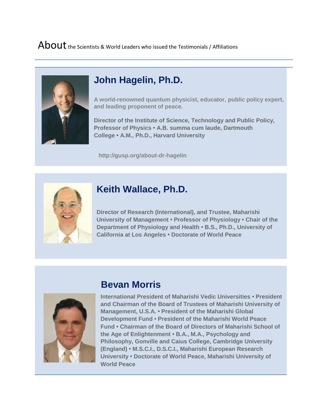## About the Scientists & World Leaders who issued the Testimonials / Affiliations



## **John Hagelin, Ph.D.**

**A world-renowned quantum physicist, educator, public policy expert, and leading proponent of peace.** 

**Director of the Institute of Science, Technology and Public Policy, Professor of Physics • A.B. summa cum laude, Dartmouth College • A.M., Ph.D., Harvard University**

 **http://gusp.org/about-dr-hagelin**



## **Keith Wallace, Ph.D.**

**Director of Research (International), and Trustee, Maharishi University of Management • Professor of Physiology • Chair of the Department of Physiology and Health • B.S., Ph.D., University of California at Los Angeles • Doctorate of World Peace**



## **Bevan Morris**

**International President of Maharishi Vedic Universities • President and Chairman of the Board of Trustees of Maharishi University of Management, U.S.A. • President of the Maharishi Global Development Fund • President of the Maharishi World Peace Fund • Chairman of the Board of Directors of Maharishi School of the Age of Enlightenment • B.A., M.A., Psychology and Philosophy, Gonville and Caius College, Cambridge University (England) • M.S.C.I., D.S.C.I., Maharishi European Research University • Doctorate of World Peace, Maharishi University of World Peace**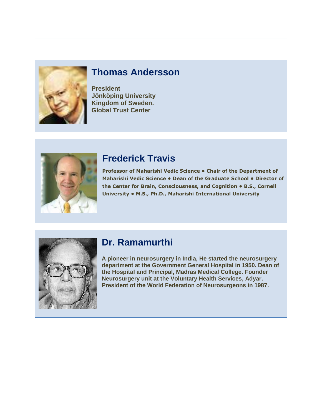

## **Thomas Andersson**

**President Jönköping University Kingdom of Sweden. Global Trust Center**



#### **Frederick Travis**

**Professor of Maharishi Vedic Science • Chair of the Department of Maharishi Vedic Science • Dean of the Graduate School • Director of the Center for Brain, Consciousness, and Cognition • B.S., Cornell University • M.S., Ph.D., Maharishi International University**



## **Dr. Ramamurthi**

**A pioneer in neurosurgery in India, He started the neurosurgery department at the Government General Hospital in 1950. Dean of the Hospital and Principal, Madras Medical College. Founder Neurosurgery unit at the Voluntary Health Services, Adyar. President of the World Federation of Neurosurgeons in 1987**.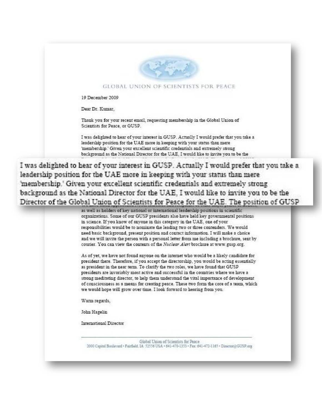

#### GLOBAL UNION OF SCIENTISTS FOR PEACE

19 December 2009

Dear Dr. Kumar.

Thank you for your recent email, requesting membership in the Global Union of Scientists for Peace, or GUSP.

I was delighted to hear of your interest in GUSP. Actually I would prefer that you take a leadership position for the UAE more in keeping with your status than mere 'membership.' Given your excellent scientific credentials and extremely strong background as the National Director for the UAE, I would like to invite you to be the

I was delighted to hear of your interest in GUSP. Actually I would prefer that you take a leadership position for the UAE more in keeping with your status than mere 'membership.' Given your excellent scientific credentials and extremely strong background as the National Director for the UAE, I would like to invite you to be the Director of the Global Union of Scientists for Peace for the UAE. The position of GUSP

as well as holders of key national or international leadership positions in scientific organizations. Some of our GUSP presidents also have held key governmental positions in science. If you know of anyone in this category in the UAE, one of your responsibilities would be to nominate the leading two or three contenders. We would need basic background, present position and contact information. I will make a choice and we will invite the person with a personal letter from me including a brochure, sent by courier. You can view the contents of the Nuclear Alert brochure at www.gusp.org.

As of yet, we have not found anyone on the internet who would be a likely candidate for president there. Therefore, if you accept the directorship, you would be acting essentially as president in the near term. To clarify the two roles, we have found that GUSP presidents are invariably most active and successful in the countries where we have a strong meditating director, to help them understand the vital importance of development of consciousness as a means for creating peace. These two form the core of a team, which we would hope will grow over time. I look forward to hearing from you.

Warm regards,

John Hagelin

International Director

Global Union of Scientists for Peace 1000 Capital Boulevard - Fairfield, IA 52556 USA - 641-470-1333 - Fax: 641-472-1165 - Director(2GUSP.org)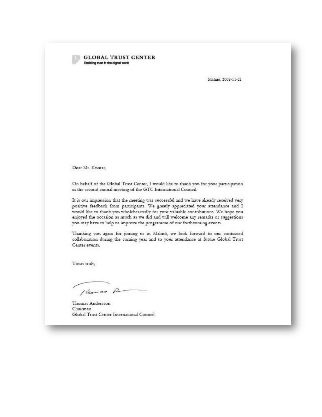#### **GLOBAL TRUST CENTER** Enabling trust in the digital world

Malmö. 2008-11-21

Dear Mr. Kumar,

On behalf of the Global Trust Center, I would like to thank you for your participation in the second annual meeting of the GTC International Council.

It is our impression that the meeting was successful and we have already received very positive feedback from participants. We greatly appreciated your attendance and I would like to thank you wholeheartedly for your valuable contributions. We hope you enjoyed the occasion as much as we did and will welcome any remarks or suggestions you may have to help us improve the programme of our forthcoming events.

Thanking you again for joining us in Malmö, we look forward to our continued collaboration during the coming year and to your attendance at future Global Trust Center events.

Yours truly,

1 hours A

Thomas Andersson Chairman Global Trust Center International Council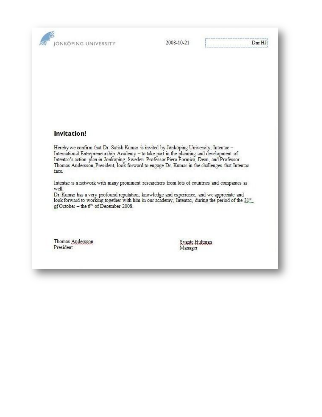JONKOPING UNIVERSITY

2008-10-21

#### Invitation!

Hereby we confirm that Dr. Satish Kumar is invited by Jönköping University, Intentac -International Entrepreneurship Academy - to take part in the planning and development of Intentac's action plan in Jönköping, Sweden. Professor Piero Formica, Dean, and Professor Thomas Andersson, President, look forward to engage Dr. Kumar in the challenges that Intentac face.

Intentac is a network with many prominent researchers from lots of countries and companies as well.

Dr. Kumar has a very profound reputation, knowledge and experience, and we appreciate and look forward to working together with him in our academy, Intentac, during the period of the 31%. of October - the 6th of December 2008.

Thomas Andersson President

Syante Hultman Manager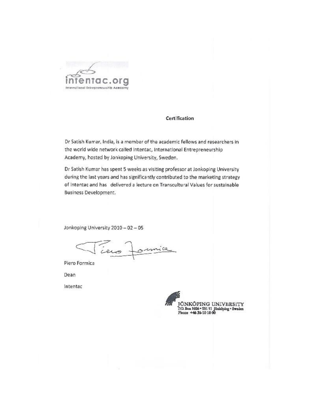

#### Certification

Dr Satish Kumar, India, is a member of the academic fellows and researchers in the world wide network called Intentac, International Entrepreneurship Academy, hosted by Jonkoping University, Sweden.

Dr Satish Kumar has spent 5 weeks as visiting professor at Jonkoping University during the last years and has significantly contributed to the marketing strategy of Intentac and has delivered a lecture on Transcultural Values for sustainable Business Development.

Jonkoping University 2010 - 02 - 05

Tiens Jonnice

Piero Formica

Dean

Intentac